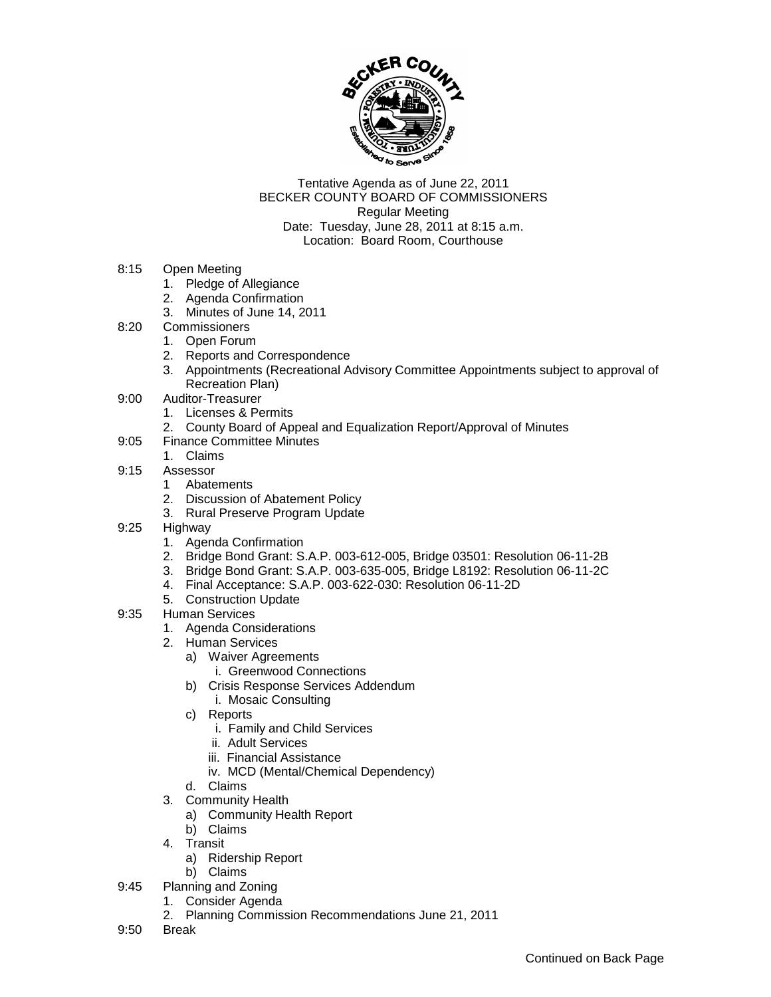

Tentative Agenda as of June 22, 2011 BECKER COUNTY BOARD OF COMMISSIONERS Regular Meeting Date: Tuesday, June 28, 2011 at 8:15 a.m. Location: Board Room, Courthouse

- 8:15 Open Meeting
	- 1. Pledge of Allegiance
	- 2. Agenda Confirmation
	- 3. Minutes of June 14, 2011
- 8:20 Commissioners
	- 1. Open Forum
	- 2. Reports and Correspondence
	- 3. Appointments (Recreational Advisory Committee Appointments subject to approval of Recreation Plan)
- 9:00 Auditor-Treasurer
	- 1. Licenses & Permits
	- 2. County Board of Appeal and Equalization Report/Approval of Minutes
- 9:05 Finance Committee Minutes
	- 1. Claims
- 9:15 Assessor
	- 1 Abatements
	- 2. Discussion of Abatement Policy
	- 3. Rural Preserve Program Update
- 9:25 Highway
	- 1. Agenda Confirmation
	- 2. Bridge Bond Grant: S.A.P. 003-612-005, Bridge 03501: Resolution 06-11-2B
	- 3. Bridge Bond Grant: S.A.P. 003-635-005, Bridge L8192: Resolution 06-11-2C
	- 4. Final Acceptance: S.A.P. 003-622-030: Resolution 06-11-2D
	- 5. Construction Update
- 9:35 Human Services
	- 1. Agenda Considerations
	- 2. Human Services
		- a) Waiver Agreements
			- i. Greenwood Connections
		- b) Crisis Response Services Addendum
			- i. Mosaic Consulting
		- c) Reports
			- i. Family and Child Services
			- ii. Adult Services
			- iii. Financial Assistance
			- iv. MCD (Mental/Chemical Dependency)
		- d. Claims
	- 3. Community Health
		- a) Community Health Report
		- b) Claims
	- 4. Transit
		- a) Ridership Report
		- b) Claims
- 9:45 Planning and Zoning
	- 1. Consider Agenda
	- 2. Planning Commission Recommendations June 21, 2011
- 9:50 Break